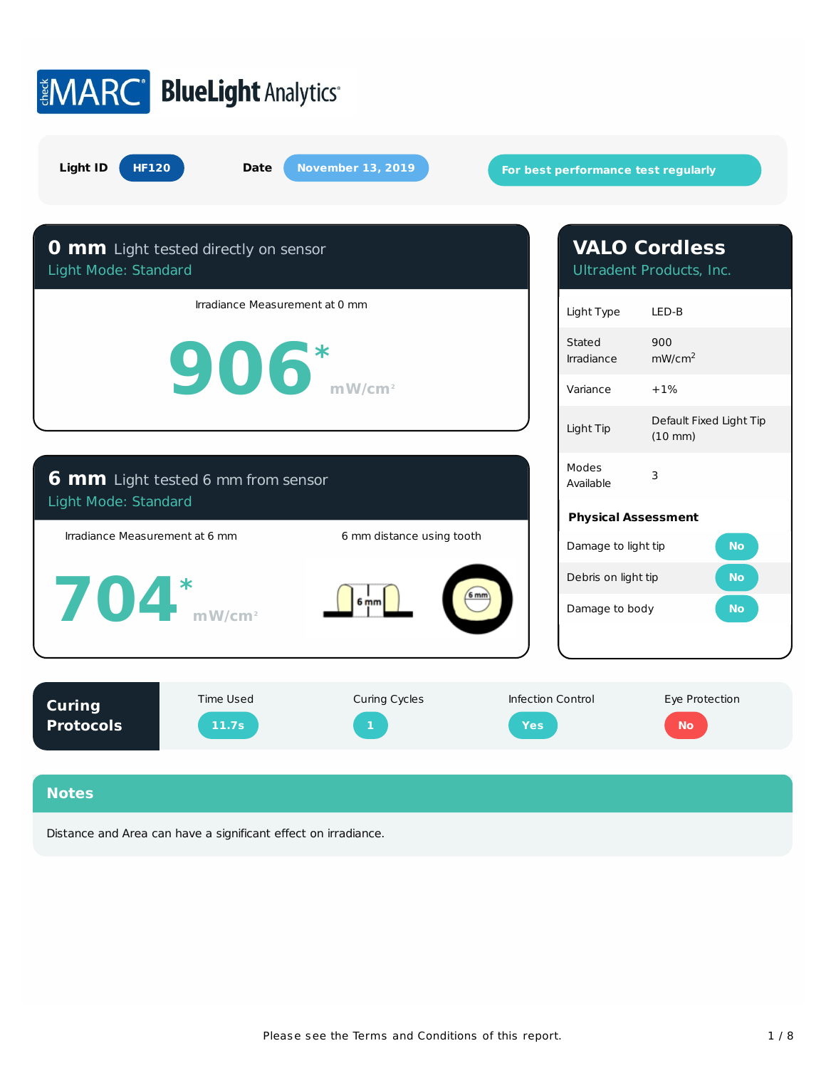

Distance and Area can have a significant effect on irradiance.